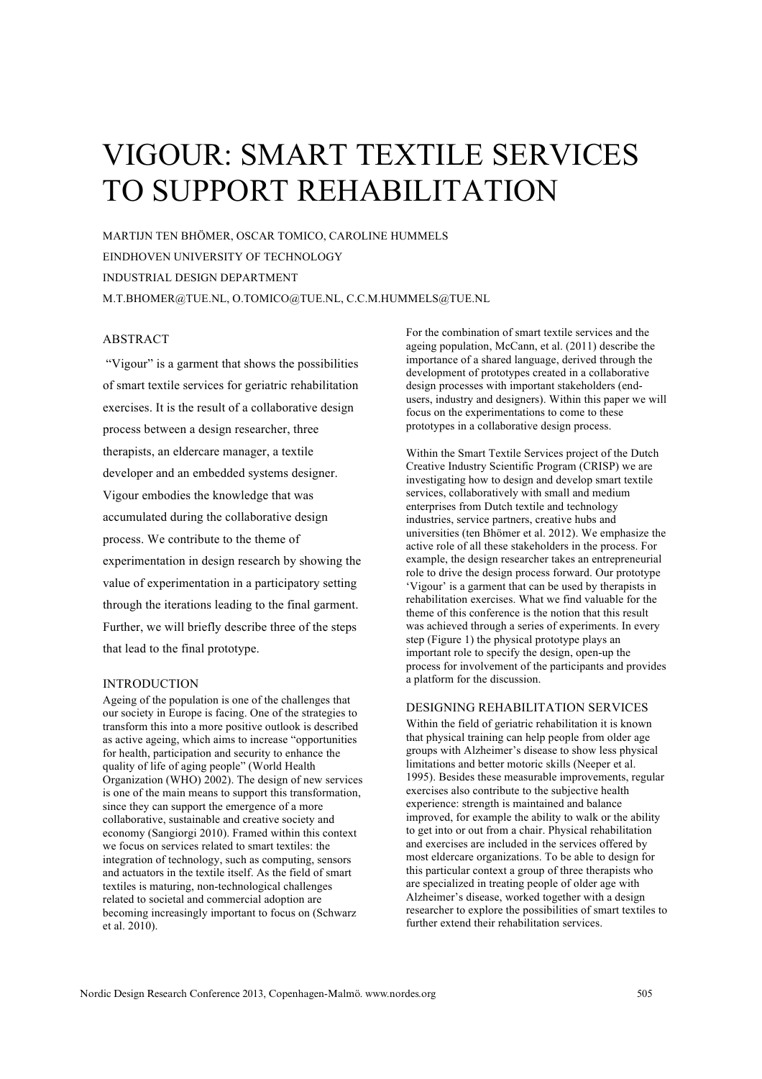# VIGOUR: SMART TEXTILE SERVICES TO SUPPORT REHABILITATION

MARTIJN TEN BHÖMER, OSCAR TOMICO, CAROLINE HUMMELS EINDHOVEN UNIVERSITY OF TECHNOLOGY INDUSTRIAL DESIGN DEPARTMENT M.T.BHOMER@TUE.NL, O.TOMICO@TUE.NL, C.C.M.HUMMELS@TUE.NL

## ABSTRACT

"Vigour" is a garment that shows the possibilities of smart textile services for geriatric rehabilitation exercises. It is the result of a collaborative design process between a design researcher, three therapists, an eldercare manager, a textile developer and an embedded systems designer. Vigour embodies the knowledge that was accumulated during the collaborative design process. We contribute to the theme of experimentation in design research by showing the value of experimentation in a participatory setting through the iterations leading to the final garment. Further, we will briefly describe three of the steps that lead to the final prototype.

### INTRODUCTION

Ageing of the population is one of the challenges that our society in Europe is facing. One of the strategies to transform this into a more positive outlook is described as active ageing, which aims to increase "opportunities for health, participation and security to enhance the quality of life of aging people" (World Health Organization (WHO) 2002). The design of new services is one of the main means to support this transformation, since they can support the emergence of a more collaborative, sustainable and creative society and economy (Sangiorgi 2010). Framed within this context we focus on services related to smart textiles: the integration of technology, such as computing, sensors and actuators in the textile itself. As the field of smart textiles is maturing, non-technological challenges related to societal and commercial adoption are becoming increasingly important to focus on (Schwarz et al. 2010).

For the combination of smart textile services and the ageing population, McCann, et al. (2011) describe the importance of a shared language, derived through the development of prototypes created in a collaborative design processes with important stakeholders (endusers, industry and designers). Within this paper we will focus on the experimentations to come to these prototypes in a collaborative design process.

Within the Smart Textile Services project of the Dutch Creative Industry Scientific Program (CRISP) we are investigating how to design and develop smart textile services, collaboratively with small and medium enterprises from Dutch textile and technology industries, service partners, creative hubs and universities (ten Bhömer et al. 2012). We emphasize the active role of all these stakeholders in the process. For example, the design researcher takes an entrepreneurial role to drive the design process forward. Our prototype 'Vigour' is a garment that can be used by therapists in rehabilitation exercises. What we find valuable for the theme of this conference is the notion that this result was achieved through a series of experiments. In every step (Figure 1) the physical prototype plays an important role to specify the design, open-up the process for involvement of the participants and provides a platform for the discussion.

#### DESIGNING REHABILITATION SERVICES

Within the field of geriatric rehabilitation it is known that physical training can help people from older age groups with Alzheimer's disease to show less physical limitations and better motoric skills (Neeper et al. 1995). Besides these measurable improvements, regular exercises also contribute to the subjective health experience: strength is maintained and balance improved, for example the ability to walk or the ability to get into or out from a chair. Physical rehabilitation and exercises are included in the services offered by most eldercare organizations. To be able to design for this particular context a group of three therapists who are specialized in treating people of older age with Alzheimer's disease, worked together with a design researcher to explore the possibilities of smart textiles to further extend their rehabilitation services.